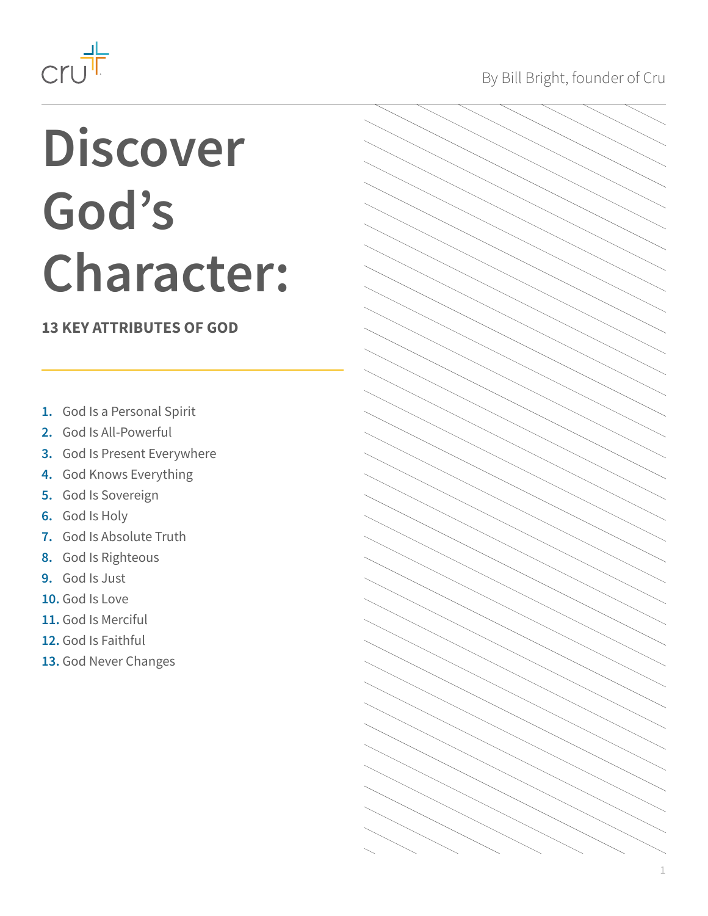<span id="page-0-0"></span>

## **Discover God's Character:**

#### **13 KEY ATTRIBUTES OF GOD**

- **1.** [God Is a Personal Spirit](#page-2-0)
- **2.** [God Is All-Powerful](#page-3-0)
- **3.** [God Is Present Everywhere](#page-4-0)
- **4.** [God Knows Everything](#page-5-0)
- **5.** [God Is Sovereign](#page-6-0)
- **6.** [God Is Holy](#page-7-0)
- **7.** [God Is Absolute Truth](#page-8-0)
- **8.** [God Is Righteous](#page-9-0)
- **9.** [God Is Just](#page-10-0)
- **10.** [God Is Love](#page-11-0)
- **11.** [God Is Merciful](#page-12-0)
- **12.** [God Is Faithful](#page-13-0)
- **13.** [God Never Changes](#page-14-0)

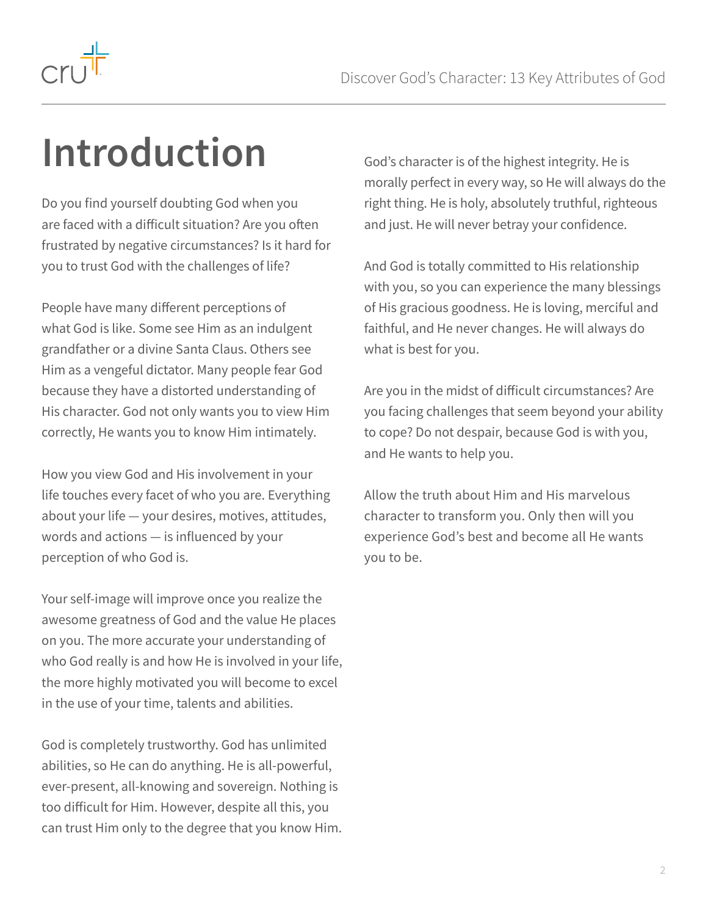

### **Introduction**

Do you find yourself doubting God when you are faced with a difficult situation? Are you often frustrated by negative circumstances? Is it hard for you to trust God with the challenges of life?

People have many different perceptions of what God is like. Some see Him as an indulgent grandfather or a divine Santa Claus. Others see Him as a vengeful dictator. Many people fear God because they have a distorted understanding of His character. God not only wants you to view Him correctly, He wants you to know Him intimately.

How you view God and His involvement in your life touches every facet of who you are. Everything about your life — your desires, motives, attitudes, words and actions — is influenced by your perception of who God is.

Your self-image will improve once you realize the awesome greatness of God and the value He places on you. The more accurate your understanding of who God really is and how He is involved in your life, the more highly motivated you will become to excel in the use of your time, talents and abilities.

God is completely trustworthy. God has unlimited abilities, so He can do anything. He is all-powerful, ever-present, all-knowing and sovereign. Nothing is too difficult for Him. However, despite all this, you can trust Him only to the degree that you know Him. God's character is of the highest integrity. He is morally perfect in every way, so He will always do the right thing. He is holy, absolutely truthful, righteous and just. He will never betray your confidence.

And God is totally committed to His relationship with you, so you can experience the many blessings of His gracious goodness. He is loving, merciful and faithful, and He never changes. He will always do what is best for you.

Are you in the midst of difficult circumstances? Are you facing challenges that seem beyond your ability to cope? Do not despair, because God is with you, and He wants to help you.

Allow the truth about Him and His marvelous character to transform you. Only then will you experience God's best and become all He wants you to be.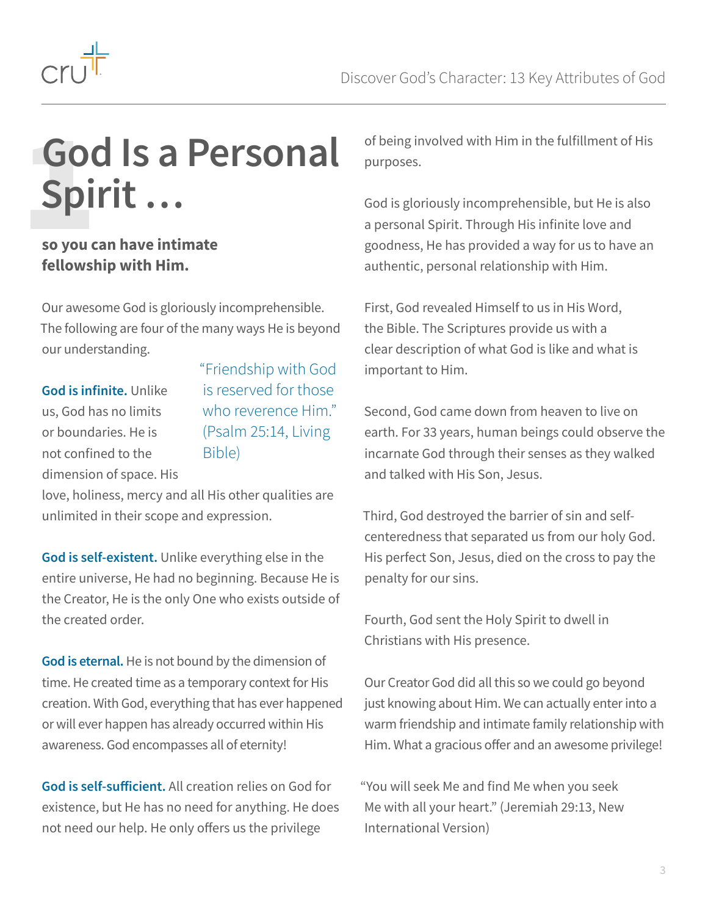<span id="page-2-0"></span>

### **God Is a Personal Spirit …** Gore Spi

#### **so you can have intimate fellowship with Him.**

Our awesome God is gloriously incomprehensible. The following are four of the many ways He is beyond our understanding.

**God is infinite.** Unlike us, God has no limits or boundaries. He is not confined to the dimension of space. His "Friendship with God is reserved for those who reverence Him." (Psalm 25:14, Living Bible)

love, holiness, mercy and all His other qualities are unlimited in their scope and expression.

**God is self-existent.** Unlike everything else in the entire universe, He had no beginning. Because He is the Creator, He is the only One who exists outside of the created order.

**God is eternal.** He is not bound by the dimension of time. He created time as a temporary context for His creation. With God, everything that has ever happened or will ever happen has already occurred within His awareness. God encompasses all of eternity!

**God is self-sufficient.** All creation relies on God for existence, but He has no need for anything. He does not need our help. He only offers us the privilege

of being involved with Him in the fulfillment of His purposes.

God is gloriously incomprehensible, but He is also a personal Spirit. Through His infinite love and goodness, He has provided a way for us to have an authentic, personal relationship with Him.

First, God revealed Himself to us in His Word, the Bible. The Scriptures provide us with a clear description of what God is like and what is important to Him.

Second, God came down from heaven to live on earth. For 33 years, human beings could observe the incarnate God through their senses as they walked and talked with His Son, Jesus.

Third, God destroyed the barrier of sin and selfcenteredness that separated us from our holy God. His perfect Son, Jesus, died on the cross to pay the penalty for our sins.

Fourth, God sent the Holy Spirit to dwell in Christians with His presence.

Our Creator God did all this so we could go beyond just knowing about Him. We can actually enter into a warm friendship and intimate family relationship with Him. What a gracious offer and an awesome privilege!

"You will seek Me and find Me when you seek Me with all your heart." (Jeremiah 29:13, New International Version)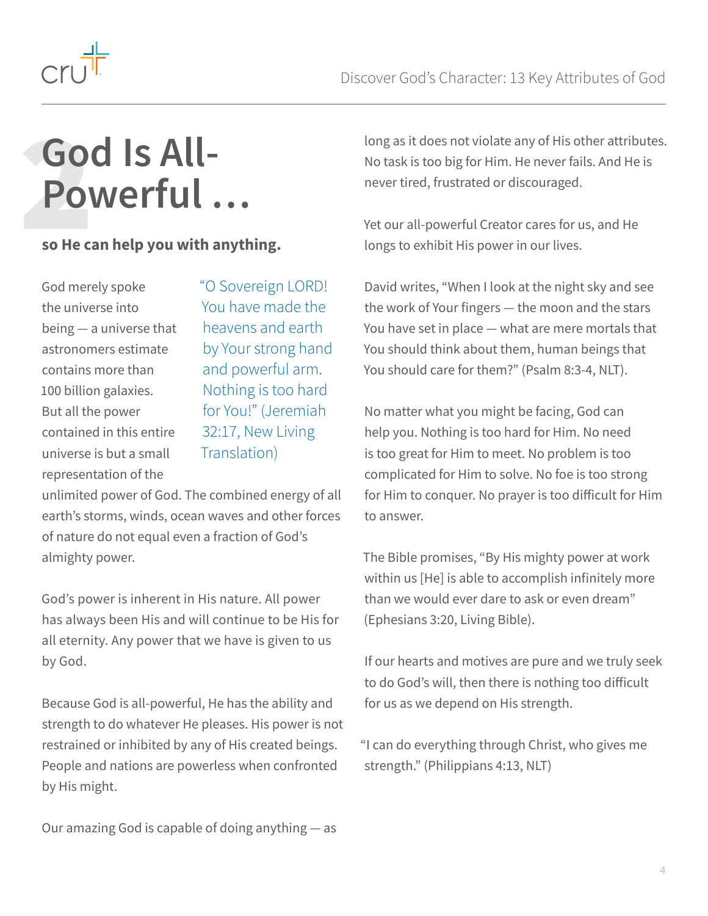<span id="page-3-0"></span>

### **God Is All-Powerful …** GO<br>PO<br>So He ca

#### **so He can help you with anything.**

God merely spoke the universe into being — a universe that astronomers estimate contains more than 100 billion galaxies. But all the power contained in this entire universe is but a small representation of the

"O Sovereign LORD! You have made the heavens and earth by Your strong hand and powerful arm. Nothing is too hard for You!" (Jeremiah 32:17, New Living Translation)

unlimited power of God. The combined energy of all earth's storms, winds, ocean waves and other forces of nature do not equal even a fraction of God's almighty power.

God's power is inherent in His nature. All power has always been His and will continue to be His for all eternity. Any power that we have is given to us by God.

Because God is all-powerful, He has the ability and strength to do whatever He pleases. His power is not restrained or inhibited by any of His created beings. People and nations are powerless when confronted by His might.

Our amazing God is capable of doing anything — as

long as it does not violate any of His other attributes. No task is too big for Him. He never fails. And He is never tired, frustrated or discouraged.

Yet our all-powerful Creator cares for us, and He longs to exhibit His power in our lives.

David writes, "When I look at the night sky and see the work of Your fingers — the moon and the stars You have set in place — what are mere mortals that You should think about them, human beings that You should care for them?" (Psalm 8:3-4, NLT).

No matter what you might be facing, God can help you. Nothing is too hard for Him. No need is too great for Him to meet. No problem is too complicated for Him to solve. No foe is too strong for Him to conquer. No prayer is too difficult for Him to answer.

The Bible promises, "By His mighty power at work within us [He] is able to accomplish infinitely more than we would ever dare to ask or even dream" (Ephesians 3:20, Living Bible).

If our hearts and motives are pure and we truly seek to do God's will, then there is nothing too difficult for us as we depend on His strength.

"I can do everything through Christ, who gives me strength." (Philippians 4:13, NLT)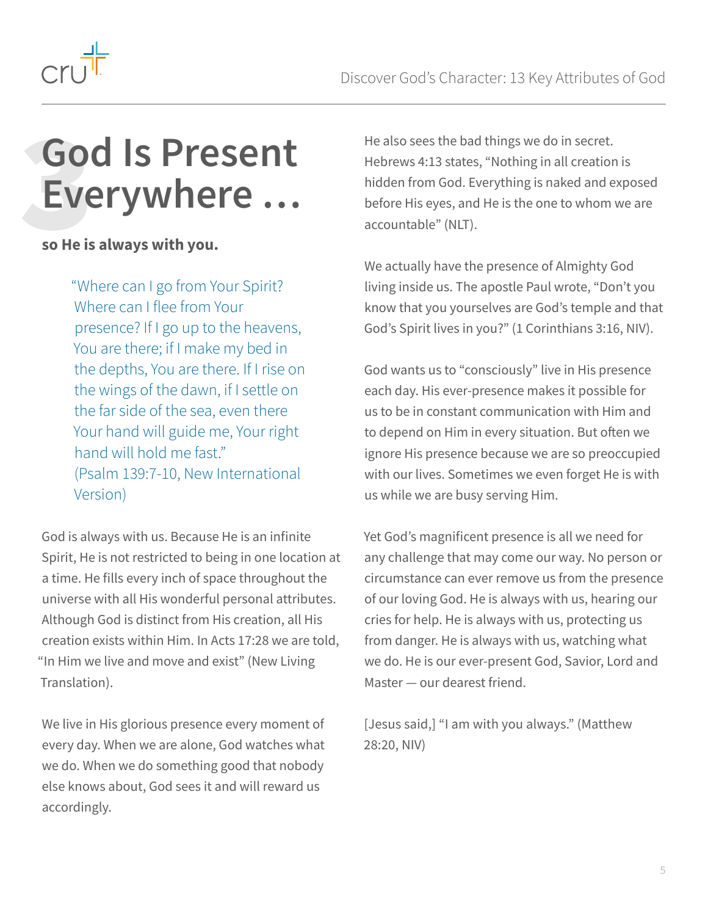<span id="page-4-0"></span>

### **God Is Present Everywhere …** Go<br>EVE<br>so He is

#### **so He is always with you.**

"Where can I go from Your Spirit? Where can I flee from Your presence? If I go up to the heavens, You are there; if I make my bed in the depths, You are there. If I rise on the wings of the dawn, if I settle on the far side of the sea, even there Your hand will guide me, Your right hand will hold me fast." (Psalm 139:7-10, New International Version)

God is always with us. Because He is an infinite Spirit, He is not restricted to being in one location at a time. He fills every inch of space throughout the universe with all His wonderful personal attributes. Although God is distinct from His creation, all His creation exists within Him. In Acts 17:28 we are told, "In Him we live and move and exist" (New Living Translation).

We live in His glorious presence every moment of every day. When we are alone, God watches what we do. When we do something good that nobody else knows about, God sees it and will reward us accordingly.

He also sees the bad things we do in secret. Hebrews 4:13 states, "Nothing in all creation is hidden from God. Everything is naked and exposed before His eyes, and He is the one to whom we are accountable" (NLT).

We actually have the presence of Almighty God living inside us. The apostle Paul wrote, "Don't you know that you yourselves are God's temple and that God's Spirit lives in you?" (1 Corinthians 3:16, NIV).

God wants us to "consciously" live in His presence each day. His ever-presence makes it possible for us to be in constant communication with Him and to depend on Him in every situation. But often we ignore His presence because we are so preoccupied with our lives. Sometimes we even forget He is with us while we are busy serving Him.

Yet God's magnificent presence is all we need for any challenge that may come our way. No person or circumstance can ever remove us from the presence of our loving God. He is always with us, hearing our cries for help. He is always with us, protecting us from danger. He is always with us, watching what we do. He is our ever-present God, Savior, Lord and Master — our dearest friend.

[Jesus said,] "I am with you always." (Matthew 28:20, NIV)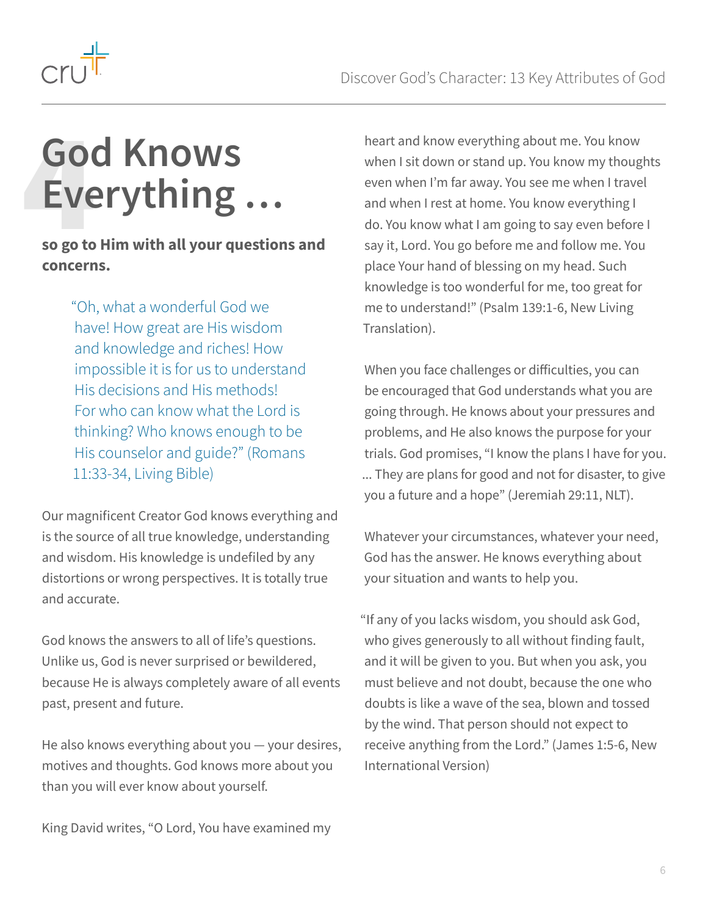<span id="page-5-0"></span>

### **God Knows Everything …** Gore<br>EVE<br>So go to

#### **so go to Him with all your questions and concerns.**

"Oh, what a wonderful God we have! How great are His wisdom and knowledge and riches! How impossible it is for us to understand His decisions and His methods! For who can know what the Lord is thinking? Who knows enough to be His counselor and guide?" (Romans 11:33-34, Living Bible)

Our magnificent Creator God knows everything and is the source of all true knowledge, understanding and wisdom. His knowledge is undefiled by any distortions or wrong perspectives. It is totally true and accurate.

God knows the answers to all of life's questions. Unlike us, God is never surprised or bewildered, because He is always completely aware of all events past, present and future.

He also knows everything about you — your desires, motives and thoughts. God knows more about you than you will ever know about yourself.

King David writes, "O Lord, You have examined my

heart and know everything about me. You know when I sit down or stand up. You know my thoughts even when I'm far away. You see me when I travel and when I rest at home. You know everything I do. You know what I am going to say even before I say it, Lord. You go before me and follow me. You place Your hand of blessing on my head. Such knowledge is too wonderful for me, too great for me to understand!" (Psalm 139:1-6, New Living Translation).

When you face challenges or difficulties, you can be encouraged that God understands what you are going through. He knows about your pressures and problems, and He also knows the purpose for your trials. God promises, "I know the plans I have for you. ... They are plans for good and not for disaster, to give you a future and a hope" (Jeremiah 29:11, NLT).

Whatever your circumstances, whatever your need, God has the answer. He knows everything about your situation and wants to help you.

"If any of you lacks wisdom, you should ask God, who gives generously to all without finding fault, and it will be given to you. But when you ask, you must believe and not doubt, because the one who doubts is like a wave of the sea, blown and tossed by the wind. That person should not expect to receive anything from the Lord." (James 1:5-6, New International Version)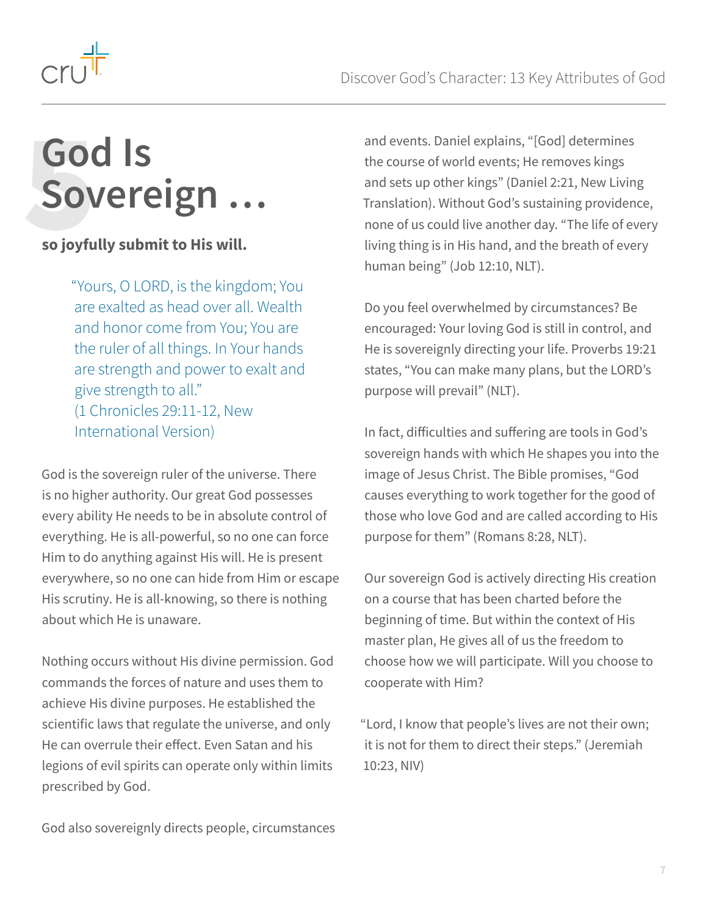<span id="page-6-0"></span>

### **God Is Sovereign …** GO

#### **so joyfully submit to His will.**

"Yours, O LORD, is the kingdom; You are exalted as head over all. Wealth and honor come from You; You are the ruler of all things. In Your hands are strength and power to exalt and give strength to all." (1 Chronicles 29:11-12, New International Version)

God is the sovereign ruler of the universe. There is no higher authority. Our great God possesses every ability He needs to be in absolute control of everything. He is all-powerful, so no one can force Him to do anything against His will. He is present everywhere, so no one can hide from Him or escape His scrutiny. He is all-knowing, so there is nothing about which He is unaware.

Nothing occurs without His divine permission. God commands the forces of nature and uses them to achieve His divine purposes. He established the scientific laws that regulate the universe, and only He can overrule their effect. Even Satan and his legions of evil spirits can operate only within limits prescribed by God.

and events. Daniel explains, "[God] determines the course of world events; He removes kings and sets up other kings" (Daniel 2:21, New Living Translation). Without God's sustaining providence, none of us could live another day. "The life of every living thing is in His hand, and the breath of every human being" (Job 12:10, NLT).

Do you feel overwhelmed by circumstances? Be encouraged: Your loving God is still in control, and He is sovereignly directing your life. Proverbs 19:21 states, "You can make many plans, but the LORD's purpose will prevail" (NLT).

In fact, difficulties and suffering are tools in God's sovereign hands with which He shapes you into the image of Jesus Christ. The Bible promises, "God causes everything to work together for the good of those who love God and are called according to His purpose for them" (Romans 8:28, NLT).

Our sovereign God is actively directing His creation on a course that has been charted before the beginning of time. But within the context of His master plan, He gives all of us the freedom to choose how we will participate. Will you choose to cooperate with Him?

"Lord, I know that people's lives are not their own; it is not for them to direct their steps." (Jeremiah 10:23, NIV)

God also sovereignly directs people, circumstances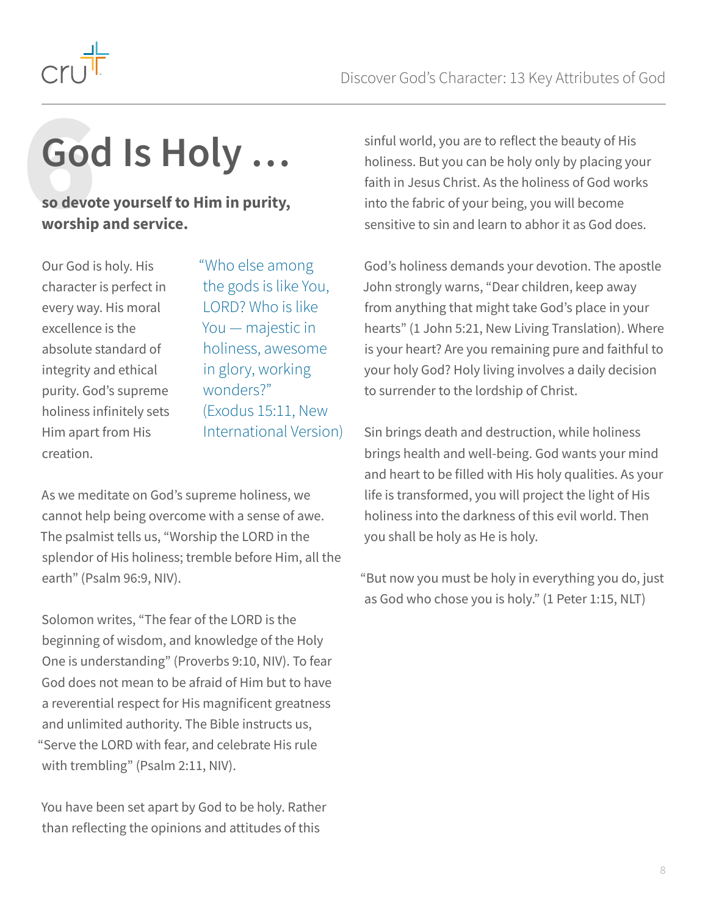

<span id="page-7-0"></span>

# **God Is Holy …** GO<br>
so devo<br>
worship

**so devote yourself to Him in purity, worship and service.**

Our God is holy. His character is perfect in every way. His moral excellence is the absolute standard of integrity and ethical purity. God's supreme holiness infinitely sets Him apart from His creation.

"Who else among the gods is like You, LORD? Who is like You — majestic in holiness, awesome in glory, working wonders?" (Exodus 15:11, New International Version)

As we meditate on God's supreme holiness, we cannot help being overcome with a sense of awe. The psalmist tells us, "Worship the LORD in the splendor of His holiness; tremble before Him, all the earth" (Psalm 96:9, NIV).

Solomon writes, "The fear of the LORD is the beginning of wisdom, and knowledge of the Holy One is understanding" (Proverbs 9:10, NIV). To fear God does not mean to be afraid of Him but to have a reverential respect for His magnificent greatness and unlimited authority. The Bible instructs us, "Serve the LORD with fear, and celebrate His rule with trembling" (Psalm 2:11, NIV).

You have been set apart by God to be holy. Rather than reflecting the opinions and attitudes of this

sinful world, you are to reflect the beauty of His holiness. But you can be holy only by placing your faith in Jesus Christ. As the holiness of God works into the fabric of your being, you will become sensitive to sin and learn to abhor it as God does.

God's holiness demands your devotion. The apostle John strongly warns, "Dear children, keep away from anything that might take God's place in your hearts" (1 John 5:21, New Living Translation). Where is your heart? Are you remaining pure and faithful to your holy God? Holy living involves a daily decision to surrender to the lordship of Christ.

Sin brings death and destruction, while holiness brings health and well-being. God wants your mind and heart to be filled with His holy qualities. As your life is transformed, you will project the light of His holiness into the darkness of this evil world. Then you shall be holy as He is holy.

"But now you must be holy in everything you do, just as God who chose you is holy." (1 Peter 1:15, NLT)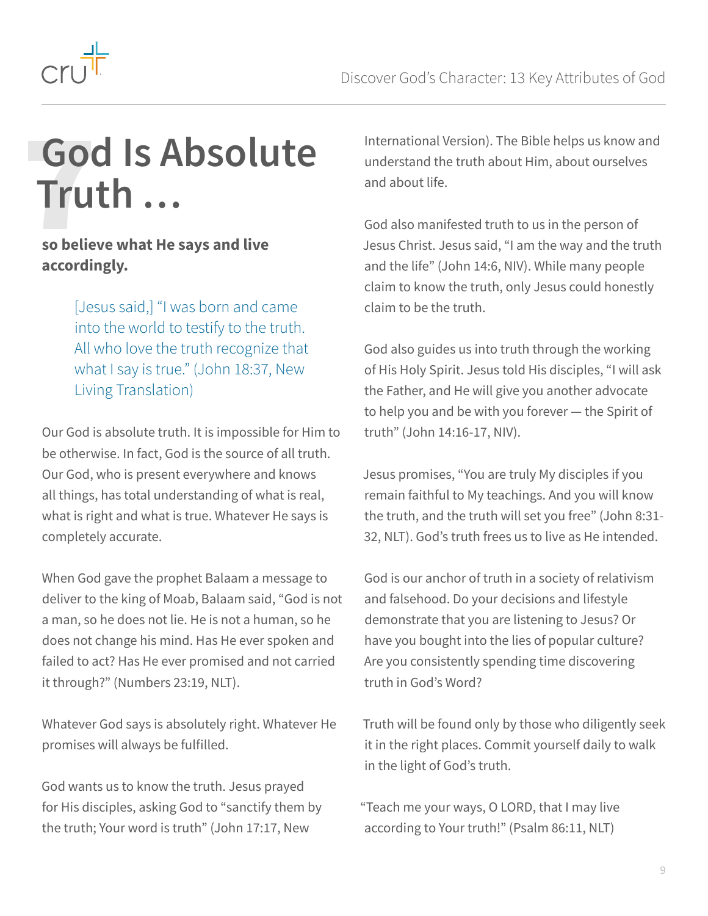<span id="page-8-0"></span>

### **God Is Absolute Truth …** Got<br>Tru

#### **so believe what He says and live accordingly.**

[Jesus said,] "I was born and came into the world to testify to the truth. All who love the truth recognize that what I say is true." (John 18:37, New Living Translation)

Our God is absolute truth. It is impossible for Him to be otherwise. In fact, God is the source of all truth. Our God, who is present everywhere and knows all things, has total understanding of what is real, what is right and what is true. Whatever He says is completely accurate.

When God gave the prophet Balaam a message to deliver to the king of Moab, Balaam said, "God is not a man, so he does not lie. He is not a human, so he does not change his mind. Has He ever spoken and failed to act? Has He ever promised and not carried it through?" (Numbers 23:19, NLT).

Whatever God says is absolutely right. Whatever He promises will always be fulfilled.

God wants us to know the truth. Jesus prayed for His disciples, asking God to "sanctify them by the truth; Your word is truth" (John 17:17, New

International Version). The Bible helps us know and understand the truth about Him, about ourselves and about life.

God also manifested truth to us in the person of Jesus Christ. Jesus said, "I am the way and the truth and the life" (John 14:6, NIV). While many people claim to know the truth, only Jesus could honestly claim to be the truth.

God also guides us into truth through the working of His Holy Spirit. Jesus told His disciples, "I will ask the Father, and He will give you another advocate to help you and be with you forever — the Spirit of truth" (John 14:16-17, NIV).

Jesus promises, "You are truly My disciples if you remain faithful to My teachings. And you will know the truth, and the truth will set you free" (John 8:31- 32, NLT). God's truth frees us to live as He intended.

God is our anchor of truth in a society of relativism and falsehood. Do your decisions and lifestyle demonstrate that you are listening to Jesus? Or have you bought into the lies of popular culture? Are you consistently spending time discovering truth in God's Word?

Truth will be found only by those who diligently seek it in the right places. Commit yourself daily to walk in the light of God's truth.

"Teach me your ways, O LORD, that I may live according to Your truth!" (Psalm 86:11, NLT)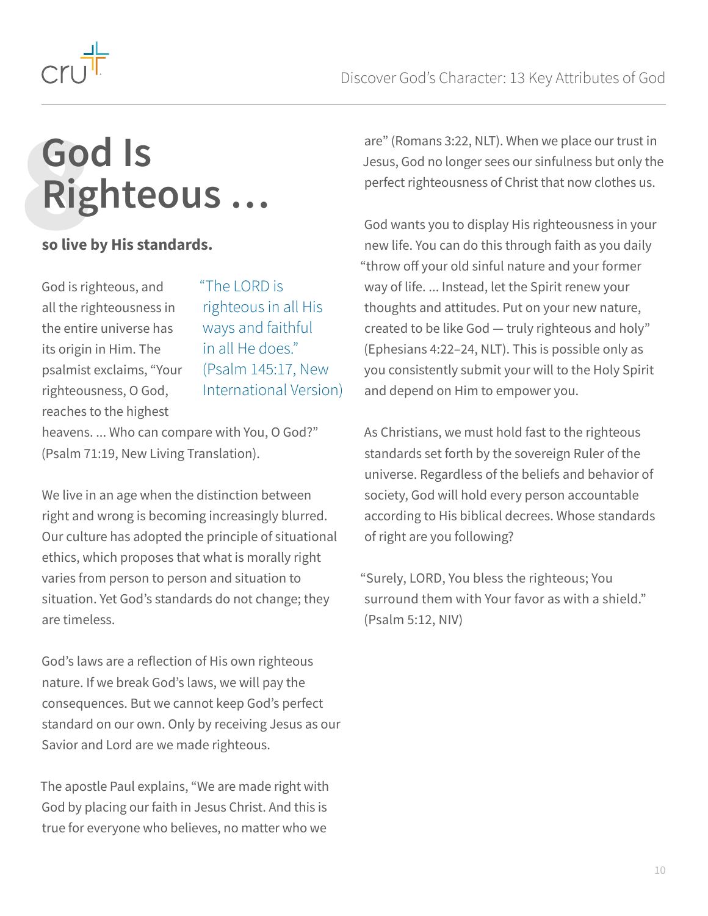<span id="page-9-0"></span>

### **God Is Righteous …** Go

#### **so live by His standards.**

God is righteous, and all the righteousness in the entire universe has its origin in Him. The psalmist exclaims, "Your righteousness, O God, reaches to the highest

"The LORD is righteous in all His ways and faithful in all He does." (Psalm 145:17, New International Version)

heavens. ... Who can compare with You, O God?" (Psalm 71:19, New Living Translation).

We live in an age when the distinction between right and wrong is becoming increasingly blurred. Our culture has adopted the principle of situational ethics, which proposes that what is morally right varies from person to person and situation to situation. Yet God's standards do not change; they are timeless.

God's laws are a reflection of His own righteous nature. If we break God's laws, we will pay the consequences. But we cannot keep God's perfect standard on our own. Only by receiving Jesus as our Savior and Lord are we made righteous.

The apostle Paul explains, "We are made right with God by placing our faith in Jesus Christ. And this is true for everyone who believes, no matter who we

are" (Romans 3:22, NLT). When we place our trust in Jesus, God no longer sees our sinfulness but only the perfect righteousness of Christ that now clothes us.

God wants you to display His righteousness in your new life. You can do this through faith as you daily "throw off your old sinful nature and your former way of life. ... Instead, let the Spirit renew your thoughts and attitudes. Put on your new nature, created to be like God — truly righteous and holy" (Ephesians 4:22–24, NLT). This is possible only as you consistently submit your will to the Holy Spirit and depend on Him to empower you.

As Christians, we must hold fast to the righteous standards set forth by the sovereign Ruler of the universe. Regardless of the beliefs and behavior of society, God will hold every person accountable according to His biblical decrees. Whose standards of right are you following?

"Surely, LORD, You bless the righteous; You surround them with Your favor as with a shield." (Psalm 5:12, NIV)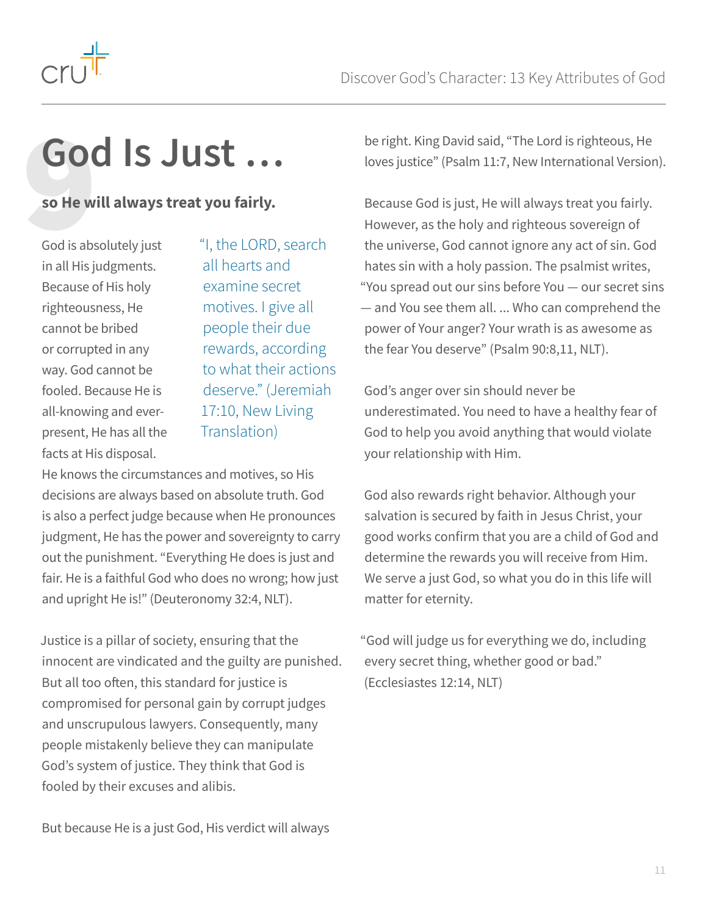

<span id="page-10-0"></span>

# **God Is Just … GO**<br>
so He w<br>
God is abs

#### **so He will always treat you fairly.**

God is absolutely just in all His judgments. Because of His holy righteousness, He cannot be bribed or corrupted in any way. God cannot be fooled. Because He is all-knowing and everpresent, He has all the facts at His disposal.

"I, the LORD, search all hearts and examine secret motives. I give all people their due rewards, according to what their actions deserve." (Jeremiah 17:10, New Living Translation)

He knows the circumstances and motives, so His decisions are always based on absolute truth. God is also a perfect judge because when He pronounces judgment, He has the power and sovereignty to carry out the punishment. "Everything He does is just and fair. He is a faithful God who does no wrong; how just and upright He is!" (Deuteronomy 32:4, NLT).

Justice is a pillar of society, ensuring that the innocent are vindicated and the guilty are punished. But all too often, this standard for justice is compromised for personal gain by corrupt judges and unscrupulous lawyers. Consequently, many people mistakenly believe they can manipulate God's system of justice. They think that God is fooled by their excuses and alibis.

But because He is a just God, His verdict will always

be right. King David said, "The Lord is righteous, He loves justice" (Psalm 11:7, New International Version).

Because God is just, He will always treat you fairly. However, as the holy and righteous sovereign of the universe, God cannot ignore any act of sin. God hates sin with a holy passion. The psalmist writes, "You spread out our sins before You — our secret sins — and You see them all. ... Who can comprehend the power of Your anger? Your wrath is as awesome as the fear You deserve" (Psalm 90:8,11, NLT).

God's anger over sin should never be underestimated. You need to have a healthy fear of God to help you avoid anything that would violate your relationship with Him.

God also rewards right behavior. Although your salvation is secured by faith in Jesus Christ, your good works confirm that you are a child of God and determine the rewards you will receive from Him. We serve a just God, so what you do in this life will matter for eternity.

"God will judge us for everything we do, including every secret thing, whether good or bad." (Ecclesiastes 12:14, NLT)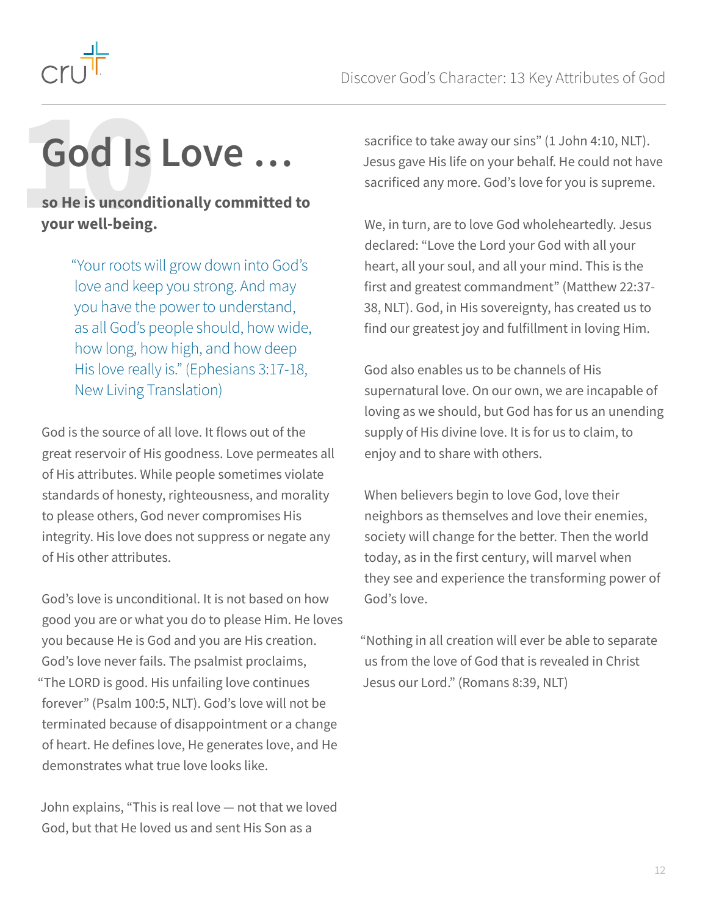<span id="page-11-0"></span>

# **God Is Love …** God Is<br>
so He is uncondi<br>
your well-being.

**so He is unconditionally committed to your well-being.**

> "Your roots will grow down into God's love and keep you strong. And may you have the power to understand, as all God's people should, how wide, how long, how high, and how deep His love really is." (Ephesians 3:17-18, New Living Translation)

God is the source of all love. It flows out of the great reservoir of His goodness. Love permeates all of His attributes. While people sometimes violate standards of honesty, righteousness, and morality to please others, God never compromises His integrity. His love does not suppress or negate any of His other attributes.

God's love is unconditional. It is not based on how good you are or what you do to please Him. He loves you because He is God and you are His creation. God's love never fails. The psalmist proclaims, "The LORD is good. His unfailing love continues forever" (Psalm 100:5, NLT). God's love will not be terminated because of disappointment or a change of heart. He defines love, He generates love, and He demonstrates what true love looks like.

John explains, "This is real love — not that we loved God, but that He loved us and sent His Son as a

sacrifice to take away our sins" (1 John 4:10, NLT). Jesus gave His life on your behalf. He could not have sacrificed any more. God's love for you is supreme.

We, in turn, are to love God wholeheartedly. Jesus declared: "Love the Lord your God with all your heart, all your soul, and all your mind. This is the first and greatest commandment" (Matthew 22:37- 38, NLT). God, in His sovereignty, has created us to find our greatest joy and fulfillment in loving Him.

God also enables us to be channels of His supernatural love. On our own, we are incapable of loving as we should, but God has for us an unending supply of His divine love. It is for us to claim, to enjoy and to share with others.

When believers begin to love God, love their neighbors as themselves and love their enemies, society will change for the better. Then the world today, as in the first century, will marvel when they see and experience the transforming power of God's love.

"Nothing in all creation will ever be able to separate us from the love of God that is revealed in Christ Jesus our Lord." (Romans 8:39, NLT)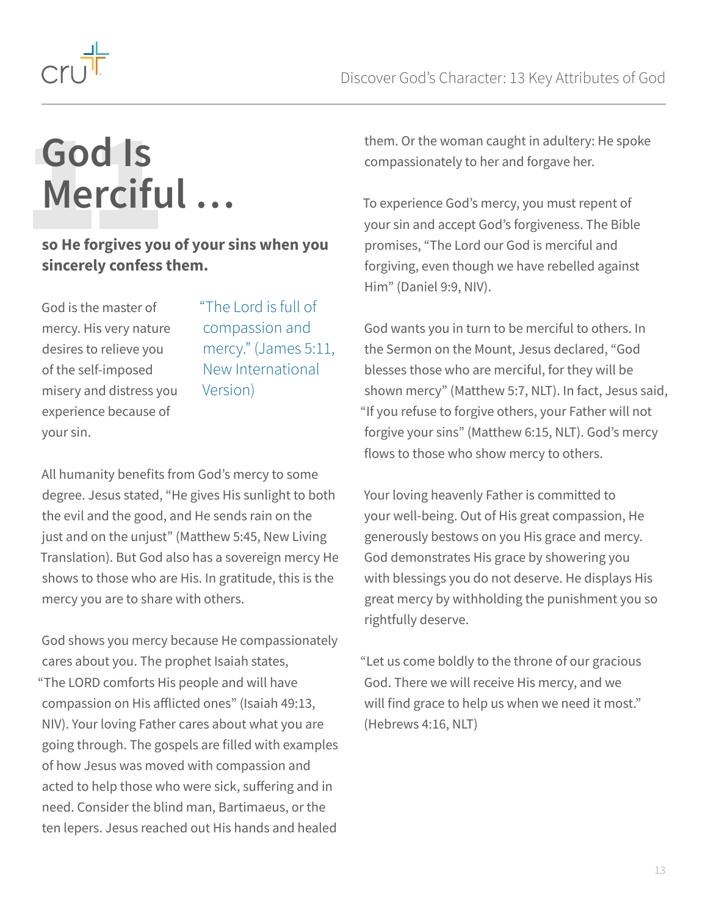<span id="page-12-0"></span>

### **God Is Merciful …** God Is<br>Mercifu

#### **so He forgives you of your sins when you sincerely confess them.**

God is the master of mercy. His very nature desires to relieve you of the self-imposed misery and distress you experience because of your sin.

"The Lord is full of compassion and mercy." (James 5:11, New International Version)

All humanity benefits from God's mercy to some degree. Jesus stated, "He gives His sunlight to both the evil and the good, and He sends rain on the just and on the unjust" (Matthew 5:45, New Living Translation). But God also has a sovereign mercy He shows to those who are His. In gratitude, this is the mercy you are to share with others.

God shows you mercy because He compassionately cares about you. The prophet Isaiah states, "The LORD comforts His people and will have compassion on His afflicted ones" (Isaiah 49:13, NIV). Your loving Father cares about what you are going through. The gospels are filled with examples of how Jesus was moved with compassion and acted to help those who were sick, suffering and in need. Consider the blind man, Bartimaeus, or the ten lepers. Jesus reached out His hands and healed

them. Or the woman caught in adultery: He spoke compassionately to her and forgave her.

To experience God's mercy, you must repent of your sin and accept God's forgiveness. The Bible promises, "The Lord our God is merciful and forgiving, even though we have rebelled against Him" (Daniel 9:9, NIV).

God wants you in turn to be merciful to others. In the Sermon on the Mount, Jesus declared, "God blesses those who are merciful, for they will be shown mercy" (Matthew 5:7, NLT). In fact, Jesus said, "If you refuse to forgive others, your Father will not forgive your sins" (Matthew 6:15, NLT). God's mercy flows to those who show mercy to others.

Your loving heavenly Father is committed to your well-being. Out of His great compassion, He generously bestows on you His grace and mercy. God demonstrates His grace by showering you with blessings you do not deserve. He displays His great mercy by withholding the punishment you so rightfully deserve.

"Let us come boldly to the throne of our gracious God. There we will receive His mercy, and we will find grace to help us when we need it most." (Hebrews 4:16, NLT)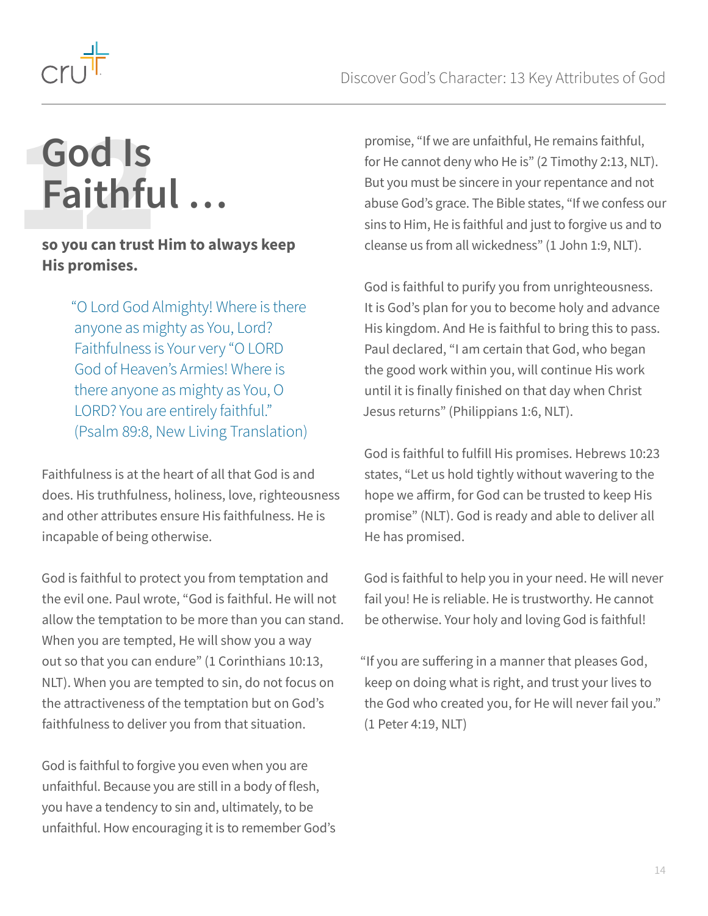<span id="page-13-0"></span>

### **God Is Faithful …** God Is<br>Faithfu

#### **so you can trust Him to always keep His promises.**

"O Lord God Almighty! Where is there anyone as mighty as You, Lord? Faithfulness is Your very "O LORD God of Heaven's Armies! Where is there anyone as mighty as You, O LORD? You are entirely faithful." (Psalm 89:8, New Living Translation)

Faithfulness is at the heart of all that God is and does. His truthfulness, holiness, love, righteousness and other attributes ensure His faithfulness. He is incapable of being otherwise.

God is faithful to protect you from temptation and the evil one. Paul wrote, "God is faithful. He will not allow the temptation to be more than you can stand. When you are tempted, He will show you a way out so that you can endure" (1 Corinthians 10:13, NLT). When you are tempted to sin, do not focus on the attractiveness of the temptation but on God's faithfulness to deliver you from that situation.

God is faithful to forgive you even when you are unfaithful. Because you are still in a body of flesh, you have a tendency to sin and, ultimately, to be unfaithful. How encouraging it is to remember God's

promise, "If we are unfaithful, He remains faithful, for He cannot deny who He is" (2 Timothy 2:13, NLT). But you must be sincere in your repentance and not abuse God's grace. The Bible states, "If we confess our sins to Him, He is faithful and just to forgive us and to cleanse us from all wickedness" (1 John 1:9, NLT).

God is faithful to purify you from unrighteousness. It is God's plan for you to become holy and advance His kingdom. And He is faithful to bring this to pass. Paul declared, "I am certain that God, who began the good work within you, will continue His work until it is finally finished on that day when Christ Jesus returns" (Philippians 1:6, NLT).

God is faithful to fulfill His promises. Hebrews 10:23 states, "Let us hold tightly without wavering to the hope we affirm, for God can be trusted to keep His promise" (NLT). God is ready and able to deliver all He has promised.

God is faithful to help you in your need. He will never fail you! He is reliable. He is trustworthy. He cannot be otherwise. Your holy and loving God is faithful!

"If you are suffering in a manner that pleases God, keep on doing what is right, and trust your lives to the God who created you, for He will never fail you." (1 Peter 4:19, NLT)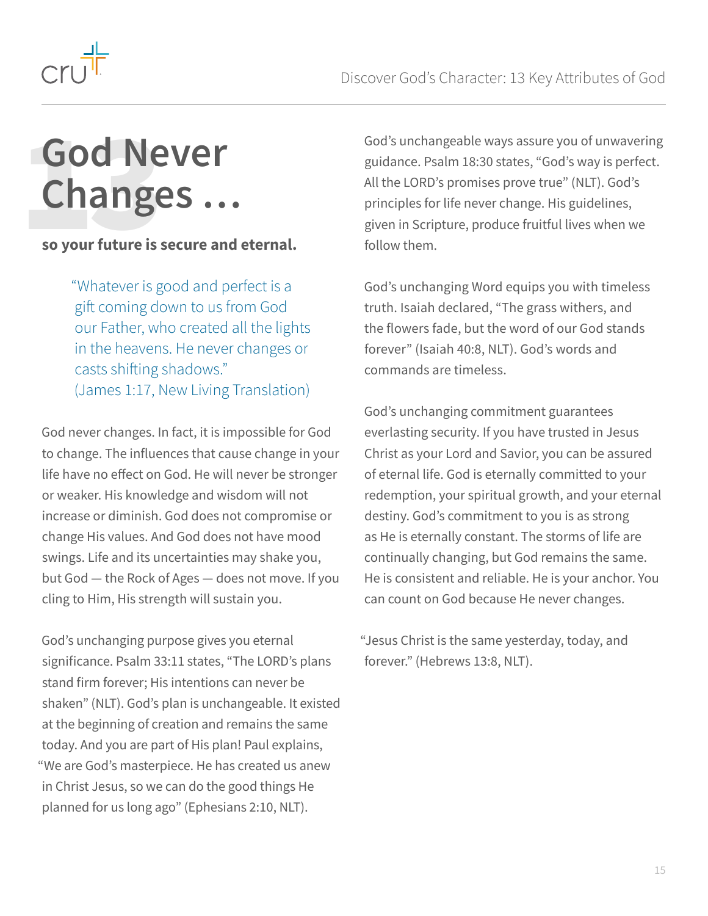<span id="page-14-0"></span>

### **God Never Changes … God Ne**<br> **Change**<br> **so your future is s**

#### **so your future is secure and eternal.**

"Whatever is good and perfect is a gift coming down to us from God our Father, who created all the lights in the heavens. He never changes or casts shifting shadows." (James 1:17, New Living Translation)

God never changes. In fact, it is impossible for God to change. The influences that cause change in your life have no effect on God. He will never be stronger or weaker. His knowledge and wisdom will not increase or diminish. God does not compromise or change His values. And God does not have mood swings. Life and its uncertainties may shake you, but God — the Rock of Ages — does not move. If you cling to Him, His strength will sustain you.

God's unchanging purpose gives you eternal significance. Psalm 33:11 states, "The LORD's plans stand firm forever; His intentions can never be shaken" (NLT). God's plan is unchangeable. It existed at the beginning of creation and remains the same today. And you are part of His plan! Paul explains, "We are God's masterpiece. He has created us anew in Christ Jesus, so we can do the good things He planned for us long ago" (Ephesians 2:10, NLT).

God's unchangeable ways assure you of unwavering guidance. Psalm 18:30 states, "God's way is perfect. All the LORD's promises prove true" (NLT). God's principles for life never change. His guidelines, given in Scripture, produce fruitful lives when we follow them.

God's unchanging Word equips you with timeless truth. Isaiah declared, "The grass withers, and the flowers fade, but the word of our God stands forever" (Isaiah 40:8, NLT). God's words and commands are timeless.

God's unchanging commitment guarantees everlasting security. If you have trusted in Jesus Christ as your Lord and Savior, you can be assured of eternal life. God is eternally committed to your redemption, your spiritual growth, and your eternal destiny. God's commitment to you is as strong as He is eternally constant. The storms of life are continually changing, but God remains the same. He is consistent and reliable. He is your anchor. You can count on God because He never changes.

"Jesus Christ is the same yesterday, today, and forever." (Hebrews 13:8, NLT).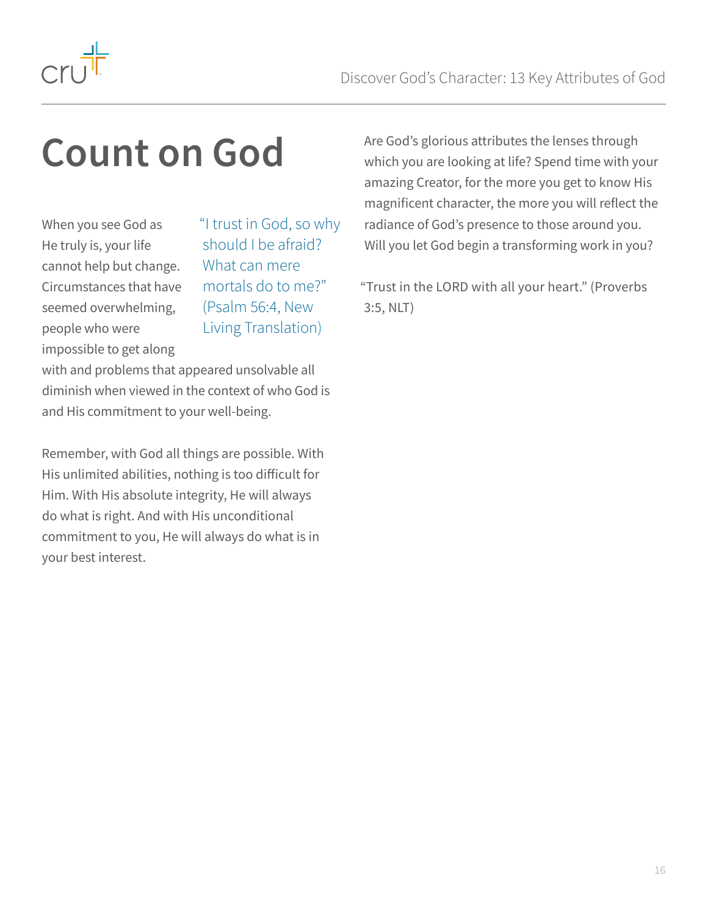

### **Count on God**

When you see God as He truly is, your life cannot help but change. Circumstances that have seemed overwhelming, people who were impossible to get along

"I trust in God, so why should I be afraid? What can mere mortals do to me?" (Psalm 56:4, New Living Translation)

with and problems that appeared unsolvable all diminish when viewed in the context of who God is and His commitment to your well-being.

Remember, with God all things are possible. With His unlimited abilities, nothing is too difficult for Him. With His absolute integrity, He will always do what is right. And with His unconditional commitment to you, He will always do what is in your best interest.

Are God's glorious attributes the lenses through which you are looking at life? Spend time with your amazing Creator, for the more you get to know His magnificent character, the more you will reflect the radiance of God's presence to those around you. Will you let God begin a transforming work in you?

"Trust in the LORD with all your heart." (Proverbs 3:5, NLT)